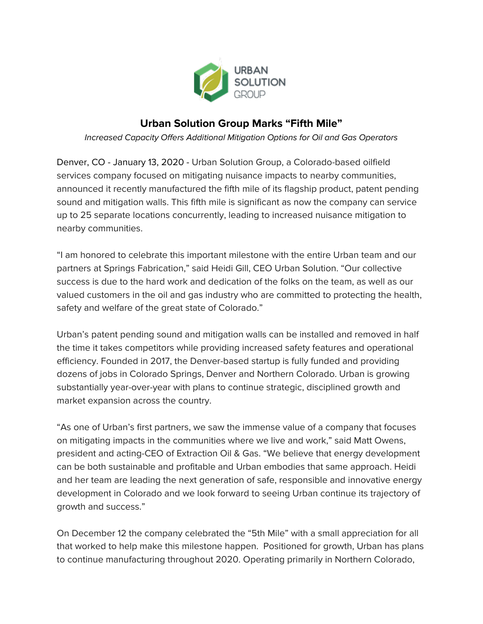

## **Urban Solution Group Marks "Fifth Mile"**

*Increased Capacity Offers Additional Mitigation Options for Oil and Gas Operators*

Denver, CO - January 13, 2020 - Urban Solution Group, a Colorado-based oilfield services company focused on mitigating nuisance impacts to nearby communities, announced it recently manufactured the fifth mile of its flagship product, patent pending sound and mitigation walls. This fifth mile is significant as now the company can service up to 25 separate locations concurrently, leading to increased nuisance mitigation to nearby communities.

"I am honored to celebrate this important milestone with the entire Urban team and our partners at Springs Fabrication," said Heidi Gill, CEO Urban Solution. "Our collective success is due to the hard work and dedication of the folks on the team, as well as our valued customers in the oil and gas industry who are committed to protecting the health, safety and welfare of the great state of Colorado."

Urban's patent pending sound and mitigation walls can be installed and removed in half the time it takes competitors while providing increased safety features and operational efficiency. Founded in 2017, the Denver-based startup is fully funded and providing dozens of jobs in Colorado Springs, Denver and Northern Colorado. Urban is growing substantially year-over-year with plans to continue strategic, disciplined growth and market expansion across the country.

"As one of Urban's first partners, we saw the immense value of a company that focuses on mitigating impacts in the communities where we live and work," said Matt Owens, president and acting-CEO of Extraction Oil & Gas. "We believe that energy development can be both sustainable and profitable and Urban embodies that same approach. Heidi and her team are leading the next generation of safe, responsible and innovative energy development in Colorado and we look forward to seeing Urban continue its trajectory of growth and success."

On December 12 the company celebrated the "5th Mile" with a small appreciation for all that worked to help make this milestone happen. Positioned for growth, Urban has plans to continue manufacturing throughout 2020. Operating primarily in Northern Colorado,